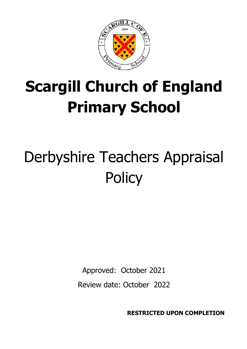

# **Scargill Church of England Primary School**

# Derbyshire Teachers Appraisal **Policy**

Approved: October 2021

Review date: October 2022

**RESTRICTED UPON COMPLETION**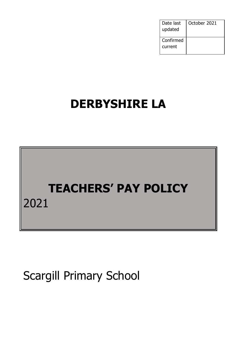| Date last<br>updated | October 2021 |
|----------------------|--------------|
| Confirmed<br>current |              |

## **DERBYSHIRE LA**

## **TEACHERS' PAY POLICY** 2021

Scargill Primary School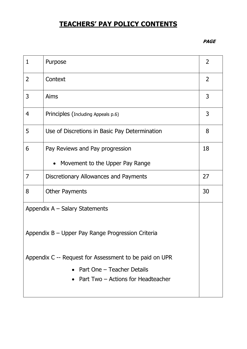## **TEACHERS' PAY POLICY CONTENTS**

#### **PAGE**

| $\mathbf{1}$   | Purpose                                                | 2  |
|----------------|--------------------------------------------------------|----|
| $\overline{2}$ | Context                                                | 2  |
| 3              | Aims                                                   | 3  |
| 4              | Principles (Including Appeals p.6)                     | 3  |
| 5              | Use of Discretions in Basic Pay Determination          | 8  |
| 6              | Pay Reviews and Pay progression                        | 18 |
|                | • Movement to the Upper Pay Range                      |    |
| 7              | Discretionary Allowances and Payments                  | 27 |
| 8              | <b>Other Payments</b>                                  | 30 |
|                | Appendix $A -$ Salary Statements                       |    |
|                | Appendix B – Upper Pay Range Progression Criteria      |    |
|                | Appendix C -- Request for Assessment to be paid on UPR |    |
|                | • Part One - Teacher Details                           |    |
|                | • Part Two $-$ Actions for Headteacher                 |    |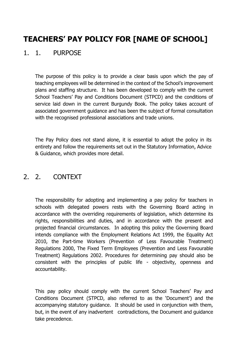## **TEACHERS' PAY POLICY FOR [NAME OF SCHOOL]**

#### 1. 1. PURPOSE

The purpose of this policy is to provide a clear basis upon which the pay of teaching employees will be determined in the context of the School's improvement plans and staffing structure. It has been developed to comply with the current School Teachers' Pay and Conditions Document (STPCD) and the conditions of service laid down in the current Burgundy Book. The policy takes account of associated government guidance and has been the subject of formal consultation with the recognised professional associations and trade unions.

The Pay Policy does not stand alone, it is essential to adopt the policy in its entirety and follow the requirements set out in the Statutory Information, Advice & Guidance, which provides more detail.

#### 2. 2. CONTEXT

The responsibility for adopting and implementing a pay policy for teachers in schools with delegated powers rests with the Governing Board acting in accordance with the overriding requirements of legislation, which determine its rights, responsibilities and duties, and in accordance with the present and projected financial circumstances. In adopting this policy the Governing Board intends compliance with the Employment Relations Act 1999, the Equality Act 2010, the Part-time Workers (Prevention of Less Favourable Treatment) Regulations 2000, The Fixed Term Employees (Prevention and Less Favourable Treatment) Regulations 2002. Procedures for determining pay should also be consistent with the principles of public life - objectivity, openness and accountability.

This pay policy should comply with the current School Teachers' Pay and Conditions Document (STPCD, also referred to as the 'Document') and the accompanying statutory guidance. It should be used in conjunction with them, but, in the event of any inadvertent contradictions, the Document and guidance take precedence.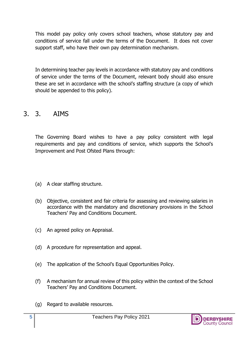This model pay policy only covers school teachers, whose statutory pay and conditions of service fall under the terms of the Document. It does not cover support staff, who have their own pay determination mechanism.

In determining teacher pay levels in accordance with statutory pay and conditions of service under the terms of the Document, relevant body should also ensure these are set in accordance with the school's staffing structure (a copy of which should be appended to this policy).

#### 3. 3. AIMS

The Governing Board wishes to have a pay policy consistent with legal requirements and pay and conditions of service, which supports the School's Improvement and Post Ofsted Plans through:

- (a) A clear staffing structure.
- (b) Objective, consistent and fair criteria for assessing and reviewing salaries in accordance with the mandatory and discretionary provisions in the School Teachers' Pay and Conditions Document.
- (c) An agreed policy on Appraisal.
- (d) A procedure for representation and appeal.
- (e) The application of the School's Equal Opportunities Policy.
- (f) A mechanism for annual review of this policy within the context of the School Teachers' Pay and Conditions Document.
- (g) Regard to available resources.

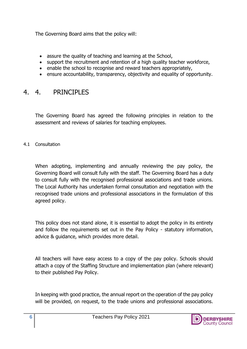The Governing Board aims that the policy will:

- assure the quality of teaching and learning at the School,
- support the recruitment and retention of a high quality teacher workforce,
- enable the school to recognise and reward teachers appropriately,
- ensure accountability, transparency, objectivity and equality of opportunity.

### 4. 4. PRINCIPLES

The Governing Board has agreed the following principles in relation to the assessment and reviews of salaries for teaching employees.

4.1 Consultation

When adopting, implementing and annually reviewing the pay policy, the Governing Board will consult fully with the staff. The Governing Board has a duty to consult fully with the recognised professional associations and trade unions. The Local Authority has undertaken formal consultation and negotiation with the recognised trade unions and professional associations in the formulation of this agreed policy.

This policy does not stand alone, it is essential to adopt the policy in its entirety and follow the requirements set out in the Pay Policy - statutory information, advice & guidance, which provides more detail.

All teachers will have easy access to a copy of the pay policy. Schools should attach a copy of the Staffing Structure and implementation plan (where relevant) to their published Pay Policy.

In keeping with good practice, the annual report on the operation of the pay policy will be provided, on request, to the trade unions and professional associations.

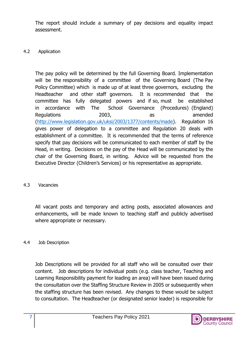The report should include a summary of pay decisions and equality impact assessment.

#### 4.2 Application

The pay policy will be determined by the full Governing Board. Implementation will be the responsibility of a committee of the Governing Board (The Pay Policy Committee) which is made up of at least three governors, excluding the Headteacher and other staff governors. It is recommended that the committee has fully delegated powers and if so, must be established in accordance with The School Governance (Procedures) (England) Regulations 2003, as amended [\(http://www.legislation.gov.uk/uksi/2003/1377/contents/made\)](http://www.legislation.gov.uk/uksi/2003/1377/contents/made). Regulation 16 gives power of delegation to a committee and Regulation 20 deals with establishment of a committee. It is recommended that the terms of reference specify that pay decisions will be communicated to each member of staff by the Head, in writing. Decisions on the pay of the Head will be communicated by the chair of the Governing Board, in writing. Advice will be requested from the Executive Director (Children's Services) or his representative as appropriate.

#### 4.3 Vacancies

All vacant posts and temporary and acting posts, associated allowances and enhancements, will be made known to teaching staff and publicly advertised where appropriate or necessary.

#### 4.4 Job Description

Job Descriptions will be provided for all staff who will be consulted over their content. Job descriptions for individual posts (e.g. class teacher, Teaching and Learning Responsibility payment for leading an area) will have been issued during the consultation over the Staffing Structure Review in 2005 or subsequently when the staffing structure has been revised. Any changes to these would be subject to consultation. The Headteacher (or designated senior leader) is responsible for

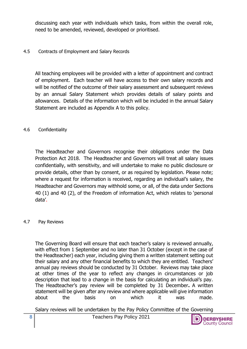discussing each year with individuals which tasks, from within the overall role, need to be amended, reviewed, developed or prioritised.

#### 4.5 Contracts of Employment and Salary Records

All teaching employees will be provided with a letter of appointment and contract of employment. Each teacher will have access to their own salary records and will be notified of the outcome of their salary assessment and subsequent reviews by an annual Salary Statement which provides details of salary points and allowances. Details of the information which will be included in the annual Salary Statement are included as Appendix A to this policy.

#### 4.6 Confidentiality

The Headteacher and Governors recognise their obligations under the Data Protection Act 2018. The Headteacher and Governors will treat all salary issues confidentially, with sensitivity, and will undertake to make no public disclosure or provide details, other than by consent, or as required by legislation. Please note; where a request for information is received, regarding an individual's salary, the Headteacher and Governors may withhold some, or all, of the data under Sections 40 (1) and 40 (2), of the Freedom of information Act, which relates to 'personal data'.

#### 4.7 Pay Reviews

The Governing Board will ensure that each teacher's salary is reviewed annually, with effect from 1 September and no later than 31 October (except in the case of the Headteacher) each year, including giving them a written statement setting out their salary and any other financial benefits to which they are entitled. Teachers' annual pay reviews should be conducted by 31 October. Reviews may take place at other times of the year to reflect any changes in circumstances or job description that lead to a change in the basis for calculating an individual's pay. The Headteacher's pay review will be completed by 31 December**.** A written statement will be given after any review and where applicable will give information about the basis on which it was made.

Salary reviews will be undertaken by the Pay Policy Committee of the Governing

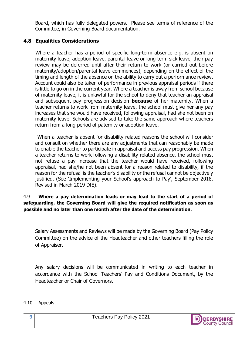Board, which has fully delegated powers. Please see terms of reference of the Committee, in Governing Board documentation.

#### **4.8 Equalities Considerations**

Where a teacher has a period of specific long-term absence e.g. is absent on maternity leave, adoption leave, parental leave or long term sick leave, their pay review may be deferred until after their return to work (or carried out before maternity/adoption/parental leave commences), depending on the effect of the timing and length of the absence on the ability to carry out a performance review. Account could also be taken of performance in previous appraisal periods if there is little to go on in the current year. Where a teacher is away from school because of maternity leave, it is unlawful for the school to deny that teacher an appraisal and subsequent pay progression decision **because** of her maternity. When a teacher returns to work from maternity leave, the school must give her any pay increases that she would have received, following appraisal, had she not been on maternity leave. Schools are advised to take the same approach where teachers return from a long period of paternity or adoption leave.

 When a teacher is absent for disability related reasons the school will consider and consult on whether there are any adjustments that can reasonably be made to enable the teacher to participate in appraisal and access pay progression. When a teacher returns to work following a disability related absence, the school must not refuse a pay increase that the teacher would have received, following appraisal, had she/he not been absent for a reason related to disability, if the reason for the refusal is the teacher's disability or the refusal cannot be objectively justified. (See 'Implementing your School's approach to Pay', September 2018, Revised in March 2019 DfE).

4.9 **Where a pay determination leads or may lead to the start of a period of safeguarding, the Governing Board will give the required notification as soon as possible and no later than one month after the date of the determination.**

Salary Assessments and Reviews will be made by the Governing Board (Pay Policy Committee) on the advice of the Headteacher and other teachers filling the role of Appraiser.

Any salary decisions will be communicated in writing to each teacher in accordance with the School Teachers' Pay and Conditions Document, by the Headteacher or Chair of Governors.

#### 4.10 Appeals

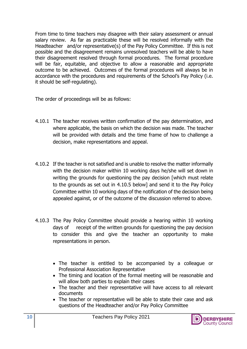From time to time teachers may disagree with their salary assessment or annual salary review. As far as practicable these will be resolved informally with the Headteacher and/or representative(s) of the Pay Policy Committee. If this is not possible and the disagreement remains unresolved teachers will be able to have their disagreement resolved through formal procedures. The formal procedure will be fair, equitable, and objective to allow a reasonable and appropriate outcome to be achieved. Outcomes of the formal procedures will always be in accordance with the procedures and requirements of the School's Pay Policy (i.e. it should be self-regulating).

The order of proceedings will be as follows:

- 4.10.1 The teacher receives written confirmation of the pay determination, and where applicable, the basis on which the decision was made. The teacher will be provided with details and the time frame of how to challenge a decision, make representations and appeal.
- 4.10.2 If the teacher is not satisfied and is unable to resolve the matter informally with the decision maker within 10 working days he/she will set down in writing the grounds for questioning the pay decision [which must relate to the grounds as set out in 4.10.5 below] and send it to the Pay Policy Committee within 10 working days of the notification of the decision being appealed against, or of the outcome of the discussion referred to above.
- 4.10.3 The Pay Policy Committee should provide a hearing within 10 working days of receipt of the written grounds for questioning the pay decision to consider this and give the teacher an opportunity to make representations in person.
	- The teacher is entitled to be accompanied by a colleague or Professional Association Representative
	- The timing and location of the formal meeting will be reasonable and will allow both parties to explain their cases
	- The teacher and their representative will have access to all relevant documents
	- The teacher or representative will be able to state their case and ask questions of the Headteacher and/or Pay Policy Committee

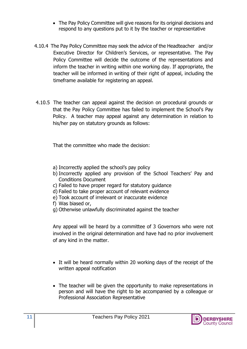- The Pay Policy Committee will give reasons for its original decisions and respond to any questions put to it by the teacher or representative
- 4.10.4 The Pay Policy Committee may seek the advice of the Headteacher and/or Executive Director for Children's Services, or representative. The Pay Policy Committee will decide the outcome of the representations and inform the teacher in writing within one working day. If appropriate, the teacher will be informed in writing of their right of appeal, including the timeframe available for registering an appeal.
- 4.10.5 The teacher can appeal against the decision on procedural grounds or that the Pay Policy Committee has failed to implement the School's Pay Policy. A teacher may appeal against any determination in relation to his/her pay on statutory grounds as follows:

That the committee who made the decision:

- a) Incorrectly applied the school's pay policy
- b) Incorrectly applied any provision of the School Teachers' Pay and Conditions Document
- c) Failed to have proper regard for statutory guidance
- d) Failed to take proper account of relevant evidence
- e) Took account of irrelevant or inaccurate evidence
- f) Was biased or,
- g) Otherwise unlawfully discriminated against the teacher

Any appeal will be heard by a committee of 3 Governors who were not involved in the original determination and have had no prior involvement of any kind in the matter.

- It will be heard normally within 20 working days of the receipt of the written appeal notification
- The teacher will be given the opportunity to make representations in person and will have the right to be accompanied by a colleague or Professional Association Representative

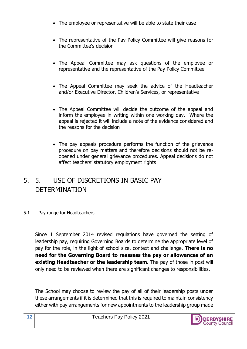- The employee or representative will be able to state their case
- The representative of the Pay Policy Committee will give reasons for the Committee's decision
- The Appeal Committee may ask questions of the employee or representative and the representative of the Pay Policy Committee
- The Appeal Committee may seek the advice of the Headteacher and/or Executive Director, Children's Services, or representative
- The Appeal Committee will decide the outcome of the appeal and inform the employee in writing within one working day. Where the appeal is rejected it will include a note of the evidence considered and the reasons for the decision
- The pay appeals procedure performs the function of the grievance procedure on pay matters and therefore decisions should not be reopened under general grievance procedures. Appeal decisions do not affect teachers' statutory employment rights

## 5. 5. USE OF DISCRETIONS IN BASIC PAY **DETERMINATION**

#### 5.1 Pay range for Headteachers

Since 1 September 2014 revised regulations have governed the setting of leadership pay, requiring Governing Boards to determine the appropriate level of pay for the role, in the light of school size, context and challenge. **There is no need for the Governing Board to reassess the pay or allowances of an existing Headteacher or the leadership team.** The pay of those in post will only need to be reviewed when there are significant changes to responsibilities.

The School may choose to review the pay of all of their leadership posts under these arrangements if it is determined that this is required to maintain consistency either with pay arrangements for new appointments to the leadership group made

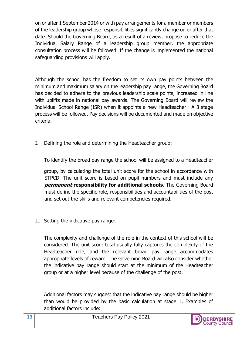on or after 1 September 2014 or with pay arrangements for a member or members of the leadership group whose responsibilities significantly change on or after that date. Should the Governing Board, as a result of a review, propose to reduce the Individual Salary Range of a leadership group member, the appropriate consultation process will be followed. If the change is implemented the national safeguarding provisions will apply.

Although the school has the freedom to set its own pay points between the minimum and maximum salary on the leadership pay range, the Governing Board has decided to adhere to the previous leadership scale points, increased in line with uplifts made in national pay awards. The Governing Board will review the Individual School Range (ISR) when it appoints a new Headteacher. A 3 stage process will be followed. Pay decisions will be documented and made on objective criteria.

I. Defining the role and determining the Headteacher group:

To identify the broad pay range the school will be assigned to a Headteacher

group, by calculating the total unit score for the school in accordance with STPCD. The unit score is based on pupil numbers and must include any **permanent responsibility for additional schools**. The Governing Board must define the specific role, responsibilities and accountabilities of the post and set out the skills and relevant competencies required.

II. Setting the indicative pay range:

The complexity and challenge of the role in the context of this school will be considered. The unit score total usually fully captures the complexity of the Headteacher role, and the relevant broad pay range accommodates appropriate levels of reward. The Governing Board will also consider whether the indicative pay range should start at the minimum of the Headteacher group or at a higher level because of the challenge of the post.

Additional factors may suggest that the indicative pay range should be higher than would be provided by the basic calculation at stage 1. Examples of additional factors include:

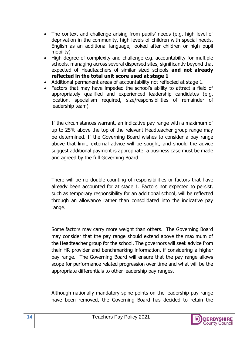- The context and challenge arising from pupils' needs (e.g. high level of deprivation in the community, high levels of children with special needs, English as an additional language, looked after children or high pupil mobility)
- High degree of complexity and challenge e.g. accountability for multiple schools, managing across several dispersed sites, significantly beyond that expected of Headteachers of similar sized schools **and not already reflected in the total unit score used at stage 1**
- Additional permanent areas of accountability not reflected at stage 1.
- Factors that may have impeded the school's ability to attract a field of appropriately qualified and experienced leadership candidates (e.g. location, specialism required, size/responsibilities of remainder of leadership team)

If the circumstances warrant, an indicative pay range with a maximum of up to 25% above the top of the relevant Headteacher group range may be determined. If the Governing Board wishes to consider a pay range above that limit, external advice will be sought, and should the advice suggest additional payment is appropriate; a business case must be made and agreed by the full Governing Board.

There will be no double counting of responsibilities or factors that have already been accounted for at stage 1. Factors not expected to persist, such as temporary responsibility for an additional school, will be reflected through an allowance rather than consolidated into the indicative pay range.

Some factors may carry more weight than others. The Governing Board may consider that the pay range should extend above the maximum of the Headteacher group for the school. The governors will seek advice from their HR provider and benchmarking information, if considering a higher pay range. The Governing Board will ensure that the pay range allows scope for performance related progression over time and what will be the appropriate differentials to other leadership pay ranges.

Although nationally mandatory spine points on the leadership pay range have been removed, the Governing Board has decided to retain the

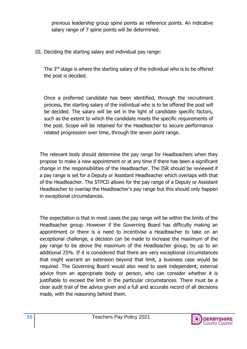previous leadership group spine points as reference points. An indicative salary range of 7 spine points will be determined.

III. Deciding the starting salary and individual pay range:

The 3<sup>rd</sup> stage is where the starting salary of the individual who is to be offered the post is decided.

Once a preferred candidate has been identified, through the recruitment process, the starting salary of the individual who is to be offered the post will be decided. The salary will be set in the light of candidate specific factors, such as the extent to which the candidate meets the specific requirements of the post. Scope will be retained for the Headteacher to secure performance related progression over time, through the seven point range.

The relevant body should determine the pay range for Headteachers when they propose to make a new appointment or at any time if there has been a significant change in the responsibilities of the Headteacher. The ISR should be reviewed if a pay range is set for a Deputy or Assistant Headteacher which overlaps with that of the Headteacher. The STPCD allows for the pay range of a Deputy or Assistant Headteacher to overlap the Headteacher's pay range but this should only happen in exceptional circumstances.

The expectation is that in most cases the pay range will be within the limits of the Headteacher group. However if the Governing Board has difficulty making an appointment or there is a need to incentivise a Headteacher to take on an exceptional challenge, a decision can be made to increase the maximum of the pay range to be above the maximum of the Headteacher group, by up to an additional 25%. If it is considered that there are very exceptional circumstances that might warrant an extension beyond that limit, a business case would be required. The Governing Board would also need to seek independent, external advice from an appropriate body or person, who can consider whether it is justifiable to exceed the limit in the particular circumstances. There must be a clear audit trail of the advice given and a full and accurate record of all decisions made, with the reasoning behind them.

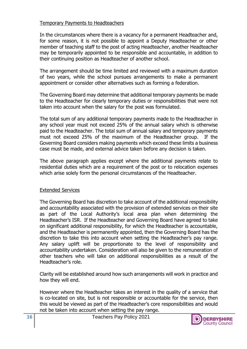#### Temporary Payments to Headteachers

In the circumstances where there is a vacancy for a permanent Headteacher and, for some reason, it is not possible to appoint a Deputy Headteacher or other member of teaching staff to the post of acting Headteacher, another Headteacher may be temporarily appointed to be responsible and accountable, in addition to their continuing position as Headteacher of another school.

The arrangement should be time limited and reviewed with a maximum duration of two years, while the school pursues arrangements to make a permanent appointment or consider other alternatives such as forming a federation.

The Governing Board may determine that additional temporary payments be made to the Headteacher for clearly temporary duties or responsibilities that were not taken into account when the salary for the post was formulated.

The total sum of any additional temporary payments made to the Headteacher in any school year must not exceed 25% of the annual salary which is otherwise paid to the Headteacher. The total sum of annual salary and temporary payments must not exceed 25% of the maximum of the Headteacher group. If the Governing Board considers making payments which exceed these limits a business case must be made, and external advice taken before any decision is taken.

The above paragraph applies except where the additional payments relate to residential duties which are a requirement of the post or to relocation expenses which arise solely form the personal circumstances of the Headteacher.

#### Extended Services

The Governing Board has discretion to take account of the additional responsibility and accountability associated with the provision of extended services on their site as part of the Local Authority's local area plan when determining the Headteacher's ISR. If the Headteacher and Governing Board have agreed to take on significant additional responsibility, for which the Headteacher is accountable, and the Headteacher is permanently appointed, then the Governing Board has the discretion to take this into account when setting the Headteacher's pay range. Any salary uplift will be proportionate to the level of responsibility and accountability undertaken. Consideration will also be given to the remuneration of other teachers who will take on additional responsibilities as a result of the Headteacher's role.

Clarity will be established around how such arrangements will work in practice and how they will end.

However where the Headteacher takes an interest in the quality of a service that is co-located on site, but is not responsible or accountable for the service, then this would be viewed as part of the Headteacher's core responsibilities and would not be taken into account when setting the pay range.

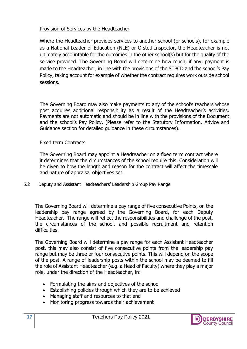#### Provision of Services by the Headteacher

Where the Headteacher provides services to another school (or schools), for example as a National Leader of Education (NLE) or Ofsted Inspector, the Headteacher is not ultimately accountable for the outcomes in the other school(s) but for the quality of the service provided. The Governing Board will determine how much, if any, payment is made to the Headteacher, in line with the provisions of the STPCD and the school's Pay Policy, taking account for example of whether the contract requires work outside school sessions.

The Governing Board may also make payments to any of the school's teachers whose post acquires additional responsibility as a result of the Headteacher's activities. Payments are not automatic and should be in line with the provisions of the Document and the school's Pay Policy. (Please refer to the Statutory Information, Advice and Guidance section for detailed guidance in these circumstances).

#### Fixed term Contracts

The Governing Board may appoint a Headteacher on a fixed term contract where it determines that the circumstances of the school require this. Consideration will be given to how the length and reason for the contract will affect the timescale and nature of appraisal objectives set.

5.2 Deputy and Assistant Headteachers' Leadership Group Pay Range

The Governing Board will determine a pay range of five consecutive Points, on the leadership pay range agreed by the Governing Board, for each Deputy Headteacher. The range will reflect the responsibilities and challenge of the post, the circumstances of the school, and possible recruitment and retention difficulties.

The Governing Board will determine a pay range for each Assistant Headteacher post, this may also consist of five consecutive points from the leadership pay range but may be three or four consecutive points. This will depend on the scope of the post. A range of leadership posts within the school may be deemed to fill the role of Assistant Headteacher (e.g. a Head of Faculty) where they play a major role, under the direction of the Headteacher, in:

- Formulating the aims and objectives of the school
- Establishing policies through which they are to be achieved
- Managing staff and resources to that end
- Monitoring progress towards their achievement

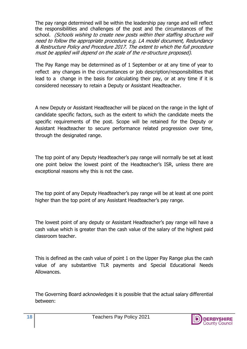The pay range determined will be within the leadership pay range and will reflect the responsibilities and challenges of the post and the circumstances of the school. (Schools wishing to create new posts within their staffing structure will need to follow the appropriate procedure e.g. LA model document, Redundancy & Restructure Policy and Procedure 2017. The extent to which the full procedure must be applied will depend on the scale of the re-structure proposed).

The Pay Range may be determined as of 1 September or at any time of year to reflect any changes in the circumstances or job description/responsibilities that lead to a change in the basis for calculating their pay, or at any time if it is considered necessary to retain a Deputy or Assistant Headteacher.

A new Deputy or Assistant Headteacher will be placed on the range in the light of candidate specific factors, such as the extent to which the candidate meets the specific requirements of the post. Scope will be retained for the Deputy or Assistant Headteacher to secure performance related progression over time, through the designated range.

The top point of any Deputy Headteacher's pay range will normally be set at least one point below the lowest point of the Headteacher's ISR, unless there are exceptional reasons why this is not the case.

The top point of any Deputy Headteacher's pay range will be at least at one point higher than the top point of any Assistant Headteacher's pay range.

The lowest point of any deputy or Assistant Headteacher's pay range will have a cash value which is greater than the cash value of the salary of the highest paid classroom teacher.

This is defined as the cash value of point 1 on the Upper Pay Range plus the cash value of any substantive TLR payments and Special Educational Needs Allowances.

The Governing Board acknowledges it is possible that the actual salary differential between:

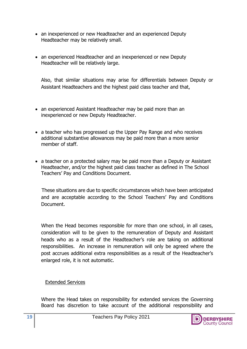- an inexperienced or new Headteacher and an experienced Deputy Headteacher may be relatively small.
- an experienced Headteacher and an inexperienced or new Deputy Headteacher will be relatively large.

Also, that similar situations may arise for differentials between Deputy or Assistant Headteachers and the highest paid class teacher and that,

- an experienced Assistant Headteacher may be paid more than an inexperienced or new Deputy Headteacher.
- a teacher who has progressed up the Upper Pay Range and who receives additional substantive allowances may be paid more than a more senior member of staff.
- a teacher on a protected salary may be paid more than a Deputy or Assistant Headteacher, and/or the highest paid class teacher as defined in The School Teachers' Pay and Conditions Document.

These situations are due to specific circumstances which have been anticipated and are acceptable according to the School Teachers' Pay and Conditions Document.

When the Head becomes responsible for more than one school, in all cases, consideration will to be given to the remuneration of Deputy and Assistant heads who as a result of the Headteacher's role are taking on additional responsibilities. An increase in remuneration will only be agreed where the post accrues additional extra responsibilities as a result of the Headteacher's enlarged role, it is not automatic.

Extended Services

Where the Head takes on responsibility for extended services the Governing Board has discretion to take account of the additional responsibility and

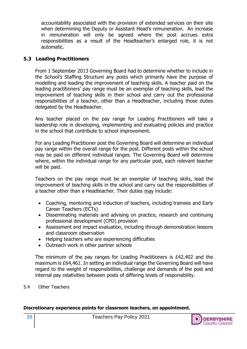accountability associated with the provision of extended services on their site when determining the Deputy or Assistant Head's remuneration. An increase in remuneration will only be agreed where the post accrues extra responsibilities as a result of the Headteacher's enlarged role, it is not automatic.

#### **5.3 Leading Practitioners**

From 1 September 2013 Governing Board had to determine whether to include in the School's Staffing Structure any posts which primarily have the purpose of modelling and leading the improvement of teaching skills. A teacher paid on the leading practitioners' pay range must be an exemplar of teaching skills, lead the improvement of teaching skills in their school and carry out the professional responsibilities of a teacher, other than a Headteacher, including those duties delegated by the Headteacher.

Any teacher placed on the pay range for Leading Practitioners will take a leadership role in developing, implementing and evaluating policies and practice in the school that contribute to school improvement.

For any Leading Practitioner post the Governing Board will determine an individual pay range within the overall range for the post. Different posts within the school may be paid on different individual ranges. The Governing Board will determine where, within the individual range for any particular post, each relevant teacher will be paid.

Teachers on the pay range must be an exemplar of teaching skills, lead the improvement of teaching skills in the school and carry out the responsibilities of a teacher other than a Headteacher. Their duties may include:

- Coaching, mentoring and induction of teachers, including trainees and Early Career Teachers (ECTs)
- Disseminating materials and advising on practice, research and continuing professional development (CPD) provision
- Assessment and impact evaluation, including through demonstration lessons and classroom observation
- Helping teachers who are experiencing difficulties
- Outreach work in other partner schools

The minimum of the pay ranges for Leading Practitioners is £42,402 and the maximum is £64,461. In setting an individual range the Governing Board will have regard to the weight of responsibilities, challenge and demands of the post and internal pay relativities between posts of differing levels of responsibility.

5.4 Other Teachers

#### **Discretionary experience points for classroom teachers, on appointment.**

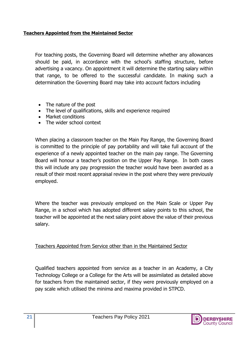#### **Teachers Appointed from the Maintained Sector**

For teaching posts, the Governing Board will determine whether any allowances should be paid, in accordance with the school's staffing structure, before advertising a vacancy. On appointment it will determine the starting salary within that range, to be offered to the successful candidate. In making such a determination the Governing Board may take into account factors including

- The nature of the post
- The level of qualifications, skills and experience required
- Market conditions
- The wider school context

When placing a classroom teacher on the Main Pay Range, the Governing Board is committed to the principle of pay portability and will take full account of the experience of a newly appointed teacher on the main pay range. The Governing Board will honour a teacher's position on the Upper Pay Range. In both cases this will include any pay progression the teacher would have been awarded as a result of their most recent appraisal review in the post where they were previously employed.

Where the teacher was previously employed on the Main Scale or Upper Pay Range, in a school which has adopted different salary points to this school, the teacher will be appointed at the next salary point above the value of their previous salary.

Teachers Appointed from Service other than in the Maintained Sector

Qualified teachers appointed from service as a teacher in an Academy, a City Technology College or a College for the Arts will be assimilated as detailed above for teachers from the maintained sector, if they were previously employed on a pay scale which utilised the minima and maxima provided in STPCD.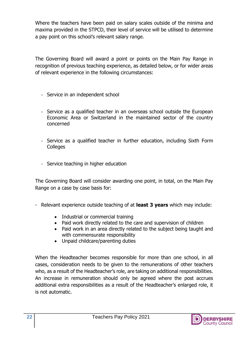Where the teachers have been paid on salary scales outside of the minima and maxima provided in the STPCD, their level of service will be utilised to determine a pay point on this school's relevant salary range.

The Governing Board will award a point or points on the Main Pay Range in recognition of previous teaching experience, as detailed below, or for wider areas of relevant experience in the following circumstances:

- Service in an independent school
- Service as a qualified teacher in an overseas school outside the European Economic Area or Switzerland in the maintained sector of the country concerned
- Service as a qualified teacher in further education, including Sixth Form **Colleges**
- Service teaching in higher education

The Governing Board will consider awarding one point, in total, on the Main Pay Range on a case by case basis for:

- Relevant experience outside teaching of at **least 3 years** which may include:
	- Industrial or commercial training
	- Paid work directly related to the care and supervision of children
	- Paid work in an area directly related to the subject being taught and with commensurate responsibility
	- Unpaid childcare/parenting duties

When the Headteacher becomes responsible for more than one school, in all cases, consideration needs to be given to the remunerations of other teachers who, as a result of the Headteacher's role, are taking on additional responsibilities. An increase in remuneration should only be agreed where the post accrues additional extra responsibilities as a result of the Headteacher's enlarged role, it is not automatic.

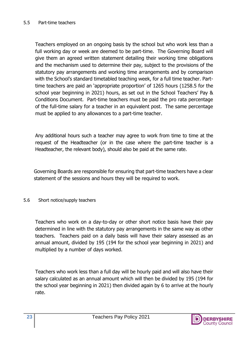Teachers employed on an ongoing basis by the school but who work less than a full working day or week are deemed to be part-time. The Governing Board will give them an agreed written statement detailing their working time obligations and the mechanism used to determine their pay, subject to the provisions of the statutory pay arrangements and working time arrangements and by comparison with the School's standard timetabled teaching week, for a full time teacher. Parttime teachers are paid an 'appropriate proportion' of 1265 hours (1258.5 for the school year beginning in 2021) hours, as set out in the School Teachers' Pay & Conditions Document. Part-time teachers must be paid the pro rata percentage of the full-time salary for a teacher in an equivalent post. The same percentage must be applied to any allowances to a part-time teacher.

Any additional hours such a teacher may agree to work from time to time at the request of the Headteacher (or in the case where the part-time teacher is a Headteacher, the relevant body), should also be paid at the same rate.

Governing Boards are responsible for ensuring that part-time teachers have a clear statement of the sessions and hours they will be required to work.

#### 5.6 Short notice/supply teachers

Teachers who work on a day-to-day or other short notice basis have their pay determined in line with the statutory pay arrangements in the same way as other teachers. Teachers paid on a daily basis will have their salary assessed as an annual amount, divided by 195 (194 for the school year beginning in 2021) and multiplied by a number of days worked.

Teachers who work less than a full day will be hourly paid and will also have their salary calculated as an annual amount which will then be divided by 195 (194 for the school year beginning in 2021) then divided again by 6 to arrive at the hourly rate.

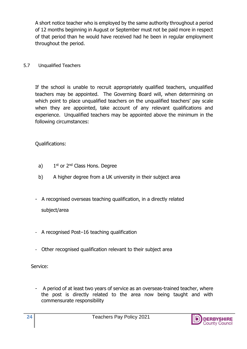A short notice teacher who is employed by the same authority throughout a period of 12 months beginning in August or September must not be paid more in respect of that period than he would have received had he been in regular employment throughout the period.

5.7 Unqualified Teachers

If the school is unable to recruit appropriately qualified teachers, unqualified teachers may be appointed. The Governing Board will, when determining on which point to place unqualified teachers on the unqualified teachers' pay scale when they are appointed, take account of any relevant qualifications and experience. Unqualified teachers may be appointed above the minimum in the following circumstances:

#### Qualifications:

- a) 1st or 2<sup>nd</sup> Class Hons. Degree
- b) A higher degree from a UK university in their subject area
- A recognised overseas teaching qualification, in a directly related subject/area
- A recognised Post–16 teaching qualification
- Other recognised qualification relevant to their subject area

Service:

- A period of at least two years of service as an overseas-trained teacher, where the post is directly related to the area now being taught and with commensurate responsibility

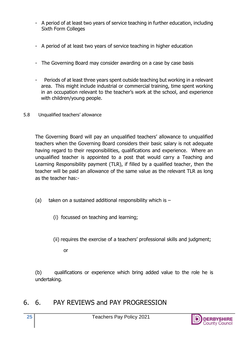- A period of at least two years of service teaching in further education, including Sixth Form Colleges
- A period of at least two years of service teaching in higher education
- The Governing Board may consider awarding on a case by case basis
- Periods of at least three years spent outside teaching but working in a relevant area. This might include industrial or commercial training, time spent working in an occupation relevant to the teacher's work at the school, and experience with children/young people.
- 5.8 Unqualified teachers' allowance

The Governing Board will pay an unqualified teachers' allowance to unqualified teachers when the Governing Board considers their basic salary is not adequate having regard to their responsibilities, qualifications and experience. Where an unqualified teacher is appointed to a post that would carry a Teaching and Learning Responsibility payment (TLR), if filled by a qualified teacher, then the teacher will be paid an allowance of the same value as the relevant TLR as long as the teacher has:-

- (a) taken on a sustained additional responsibility which is  $-$ 
	- (i) focussed on teaching and learning;
	- (ii) requires the exercise of a teachers' professional skills and judgment;

or

(b) qualifications or experience which bring added value to the role he is undertaking.

## 6. 6. PAY REVIEWS and PAY PROGRESSION

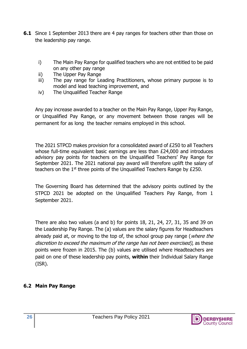- **6.1** Since 1 September 2013 there are 4 pay ranges for teachers other than those on the leadership pay range.
	- i) The Main Pay Range for qualified teachers who are not entitled to be paid on any other pay range
	- ii) The Upper Pay Range
	- iii) The pay range for Leading Practitioners, whose primary purpose is to model and lead teaching improvement, and
	- iv) The Unqualified Teacher Range

Any pay increase awarded to a teacher on the Main Pay Range, Upper Pay Range, or Unqualified Pay Range, or any movement between those ranges will be permanent for as long the teacher remains employed in this school.

The 2021 STPCD makes provision for a consolidated award of £250 to all Teachers whose full-time equivalent basic earnings are less than £24,000 and introduces advisory pay points for teachers on the Unqualified Teachers' Pay Range for September 2021. The 2021 national pay award will therefore uplift the salary of teachers on the 1<sup>st</sup> three points of the Unqualified Teachers Range by £250.

The Governing Board has determined that the advisory points outlined by the STPCD 2021 be adopted on the Unqualified Teachers Pay Range, from 1 September 2021.

There are also two values (a and b) for points 18, 21, 24, 27, 31, 35 and 39 on the Leadership Pay Range. The (a) values are the salary figures for Headteachers already paid at, or moving to the top of, the school group pay range (where the discretion to exceed the maximum of the range has not been exercised), as these points were frozen in 2015. The (b) values are utilised where Headteachers are paid on one of these leadership pay points, **within** their Individual Salary Range (ISR).

#### **6.2 Main Pay Range**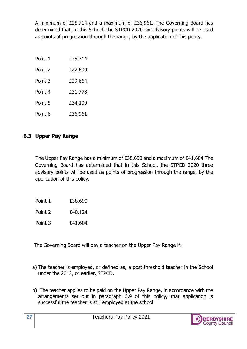A minimum of £25,714 and a maximum of £36,961. The Governing Board has determined that, in this School, the STPCD 2020 six advisory points will be used as points of progression through the range, by the application of this policy.

| Point 1 | £25,714 |
|---------|---------|
| Point 2 | £27,600 |
| Point 3 | £29,664 |
| Point 4 | £31,778 |
| Point 5 | £34,100 |
| Point 6 | £36,961 |

#### **6.3 Upper Pay Range**

 The Upper Pay Range has a minimum of £38,690 and a maximum of £41,604.The Governing Board has determined that in this School, the STPCD 2020 three advisory points will be used as points of progression through the range, by the application of this policy.

| Point 1 | £38,690 |
|---------|---------|
|         |         |

Point 2  $£40,124$ 

Point 3 £41,604

The Governing Board will pay a teacher on the Upper Pay Range if:

- a) The teacher is employed, or defined as, a post threshold teacher in the School under the 2012, or earlier, STPCD.
- b) The teacher applies to be paid on the Upper Pay Range, in accordance with the arrangements set out in paragraph 6.9 of this policy, that application is successful the teacher is still employed at the school.

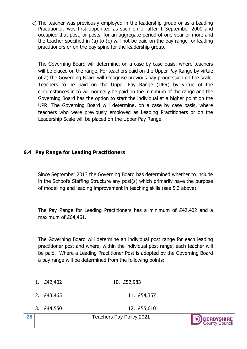c) The teacher was previously employed in the leadership group or as a Leading Practitioner, was first appointed as such on or after 1 September 2000 and occupied that post, or posts, for an aggregate period of one year or more and the teacher specified in (a) to (c) will not be paid on the pay range for leading practitioners or on the pay spine for the leadership group.

The Governing Board will determine, on a case by case basis, where teachers will be placed on the range. For teachers paid on the Upper Pay Range by virtue of a) the Governing Board will recognise previous pay progression on the scale. Teachers to be paid on the Upper Pay Range (UPR) by virtue of the circumstances in b) will normally be paid on the minimum of the range and the Governing Board has the option to start the individual at a higher point on the UPR. The Governing Board will determine, on a case by case basis, where teachers who were previously employed as Leading Practitioners or on the Leadership Scale will be placed on the Upper Pay Range.

#### **6.4 Pay Range for Leading Practitioners**

Since September 2013 the Governing Board has determined whether to include in the School's Staffing Structure any post(s) which primarily have the purpose of modelling and leading improvement in teaching skills (see 5.3 above).

The Pay Range for Leading Practitioners has a minimum of £42,402 and a maximum of £64,461.

The Governing Board will determine an individual post range for each leading practitioner post and where, within the individual post range, each teacher will be paid. Where a Leading Practitioner Post is adopted by the Governing Board a pay range will be determined from the following points:

| 28 |            | <b>Teachers Pay Policy 2021</b> | <b>D</b> DERBYSHIRE |
|----|------------|---------------------------------|---------------------|
|    | 3. £44,550 | 12. £55,610                     |                     |
|    | 2. £43,465 | 11. £54,357                     |                     |
|    | 1. £42,402 | 10. £52,983                     |                     |

County Council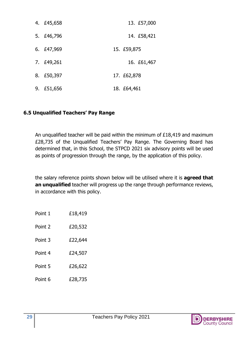| 4. £45,658 | 13. £57,000 |
|------------|-------------|
| 5. £46,796 | 14. £58,421 |
| 6. £47,969 | 15. £59,875 |
| 7. £49,261 | 16. £61,467 |
| 8. £50,397 | 17. £62,878 |
| 9. £51,656 | 18. £64,461 |

#### **6.5 Unqualified Teachers' Pay Range**

An unqualified teacher will be paid within the minimum of £18,419 and maximum £28,735 of the Unqualified Teachers' Pay Range. The Governing Board has determined that, in this School, the STPCD 2021 six advisory points will be used as points of progression through the range, by the application of this policy.

the salary reference points shown below will be utilised where it is **agreed that an unqualified** teacher will progress up the range through performance reviews, in accordance with this policy.

| Point 2 | £20,532 |
|---------|---------|
| Point 3 | £22,644 |
| Point 4 | £24,507 |
| Point 5 | £26,622 |
| Point 6 | £28,735 |

Point 1 **£18,419** 

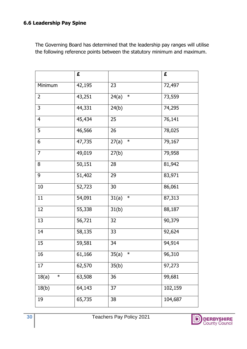#### **6.6 Leadership Pay Spine**

The Governing Board has determined that the leadership pay ranges will utilise the following reference points between the statutory minimum and maximum.

|                 | £      |                 | £       |
|-----------------|--------|-----------------|---------|
| Minimum         | 42,195 | 23              | 72,497  |
| $\overline{2}$  | 43,251 | $\ast$<br>24(a) | 73,559  |
| $\mathsf{3}$    | 44,331 | 24(b)           | 74,295  |
| $\overline{4}$  | 45,434 | 25              | 76,141  |
| 5               | 46,566 | 26              | 78,025  |
| 6               | 47,735 | $\ast$<br>27(a) | 79,167  |
| $\overline{7}$  | 49,019 | 27(b)           | 79,958  |
| 8               | 50,151 | 28              | 81,942  |
| 9               | 51,402 | 29              | 83,971  |
| $10\,$          | 52,723 | 30              | 86,061  |
| 11              | 54,091 | $\ast$<br>31(a) | 87,313  |
| 12              | 55,338 | 31(b)           | 88,187  |
| 13              | 56,721 | 32              | 90,379  |
| 14              | 58,135 | 33              | 92,624  |
| 15              | 59,581 | 34              | 94,914  |
| 16              | 61,166 | $\ast$<br>35(a) | 96,310  |
| 17              | 62,570 | 35(b)           | 97,273  |
| $\ast$<br>18(a) | 63,508 | 36              | 99,681  |
| 18(b)           | 64,143 | 37              | 102,159 |
| 19              | 65,735 | 38              | 104,687 |

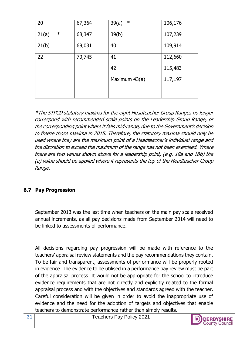| 20              | 67,364 | $\ast$<br>39(a) | 106,176 |
|-----------------|--------|-----------------|---------|
| $\ast$<br>21(a) | 68,347 | 39(b)           | 107,239 |
| 21(b)           | 69,031 | 40              | 109,914 |
| 22              | 70,745 | 41              | 112,660 |
|                 |        | 42              | 115,483 |
|                 |        | Maximum 43(a)   | 117,197 |
|                 |        |                 |         |

**\***The STPCD statutory maxima for the eight Headteacher Group Ranges no longer correspond with recommended scale points on the Leadership Group Range, or the corresponding point where it falls mid-range, due to the Government's decision to freeze those maxima in 2015. Therefore, the statutory maxima should only be used where they are the maximum point of a Headteacher's individual range and the discretion to exceed the maximum of the range has not been exercised. Where there are two values shown above for a leadership point, (e.g. 18a and 18b) the (a) value should be applied where it represents the top of the Headteacher Group Range.

#### **6.7 Pay Progression**

September 2013 was the last time when teachers on the main pay scale received annual increments, as all pay decisions made from September 2014 will need to be linked to assessments of performance.

All decisions regarding pay progression will be made with reference to the teachers' appraisal review statements and the pay recommendations they contain. To be fair and transparent, assessments of performance will be properly rooted in evidence. The evidence to be utilised in a performance pay review must be part of the appraisal process. It would not be appropriate for the school to introduce evidence requirements that are not directly and explicitly related to the formal appraisal process and with the objectives and standards agreed with the teacher. Careful consideration will be given in order to avoid the inappropriate use of evidence and the need for the adoption of targets and objectives that enable teachers to demonstrate performance rather than simply results.

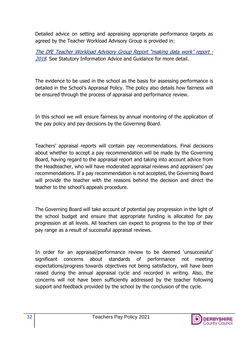Detailed advice on setting and appraising appropriate performance targets as agreed by the Teacher Workload Advisory Group is provided in:

[The DfE Teacher Workload Advisory Group Report "making data work" report](https://assets.publishing.service.gov.uk/government/uploads/system/uploads/attachment_data/file/754349/Workload_Advisory_Group-report.pdf) - [2018.](https://assets.publishing.service.gov.uk/government/uploads/system/uploads/attachment_data/file/754349/Workload_Advisory_Group-report.pdf) See Statutory Information Advice and Guidance for more detail.

The evidence to be used in the school as the basis for assessing performance is detailed in the School's Appraisal Policy. The policy also details how fairness will be ensured through the process of appraisal and performance review.

In this school we will ensure fairness by annual monitoring of the application of the pay policy and pay decisions by the Governing Board.

Teachers' appraisal reports will contain pay recommendations. Final decisions about whether to accept a pay recommendation will be made by the Governing Board, having regard to the appraisal report and taking into account advice from the Headteacher, who will have moderated appraisal reviews and appraisers' pay recommendations. If a pay recommendation is not accepted, the Governing Board will provide the teacher with the reasons behind the decision and direct the teacher to the school's appeals procedure.

The Governing Board will take account of potential pay progression in the light of the school budget and ensure that appropriate funding is allocated for pay progression at all levels. All teachers can expect to progress to the top of their pay range as a result of successful appraisal reviews.

In order for an appraisal/performance review to be deemed 'unsuccessful' significant concerns about standards of performance not meeting expectations/progress towards objectives not being satisfactory, will have been raised during the annual appraisal cycle and recorded in writing. Also, the concerns will not have been sufficiently addressed by the teacher following support and feedback provided by the school by the conclusion of the cycle.

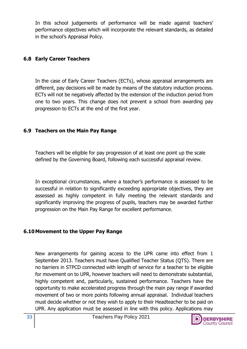In this school judgements of performance will be made against teachers' performance objectives which will incorporate the relevant standards, as detailed in the school's Appraisal Policy.

#### **6.8 Early Career Teachers**

In the case of Early Career Teachers (ECTs), whose appraisal arrangements are different, pay decisions will be made by means of the statutory induction process. ECTs will not be negatively affected by the extension of the induction period from one to two years. This change does not prevent a school from awarding pay progression to ECTs at the end of the first year.

#### **6.9 Teachers on the Main Pay Range**

Teachers will be eligible for pay progression of at least one point up the scale defined by the Governing Board, following each successful appraisal review.

In exceptional circumstances, where a teacher's performance is assessed to be successful in relation to significantly exceeding appropriate objectives, they are assessed as highly competent in fully meeting the relevant standards and significantly improving the progress of pupils, teachers may be awarded further progression on the Main Pay Range for excellent performance.

#### **6.10Movement to the Upper Pay Range**

New arrangements for gaining access to the UPR came into effect from 1 September 2013. Teachers must have Qualified Teacher Status (QTS). There are no barriers in STPCD connected with length of service for a teacher to be eligible for movement on to UPR, however teachers will need to demonstrate substantial, highly competent and, particularly, sustained performance. Teachers have the opportunity to make accelerated progress through the main pay range if awarded movement of two or more points following annual appraisal. Individual teachers must decide whether or not they wish to apply to their Headteacher to be paid on UPR. Any application must be assessed in line with this policy. Applications may

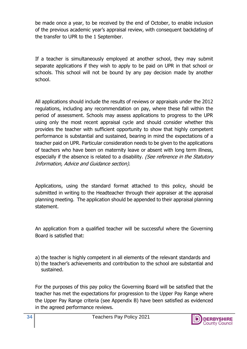be made once a year, to be received by the end of October, to enable inclusion of the previous academic year's appraisal review, with consequent backdating of the transfer to UPR to the 1 September.

If a teacher is simultaneously employed at another school, they may submit separate applications if they wish to apply to be paid on UPR in that school or schools. This school will not be bound by any pay decision made by another school.

All applications should include the results of reviews or appraisals under the 2012 regulations, including any recommendation on pay, where these fall within the period of assessment. Schools may assess applications to progress to the UPR using only the most recent appraisal cycle and should consider whether this provides the teacher with sufficient opportunity to show that highly competent performance is substantial and sustained, bearing in mind the expectations of a teacher paid on UPR. Particular consideration needs to be given to the applications of teachers who have been on maternity leave or absent with long term illness, especially if the absence is related to a disability. (See reference in the Statutory Information, Advice and Guidance section).

Applications, using the standard format attached to this policy, should be submitted in writing to the Headteacher through their appraiser at the appraisal planning meeting. The application should be appended to their appraisal planning statement.

An application from a qualified teacher will be successful where the Governing Board is satisfied that:

a) the teacher is highly competent in all elements of the relevant standards and b) the teacher's achievements and contribution to the school are substantial and sustained.

For the purposes of this pay policy the Governing Board will be satisfied that the teacher has met the expectations for progression to the Upper Pay Range where the Upper Pay Range criteria (see Appendix B) have been satisfied as evidenced in the agreed performance reviews.

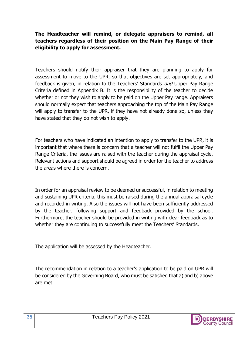#### **The Headteacher will remind, or delegate appraisers to remind, all teachers regardless of their position on the Main Pay Range of their eligibility to apply for assessment.**

Teachers should notify their appraiser that they are planning to apply for assessment to move to the UPR, so that objectives are set appropriately, and feedback is given, in relation to the Teachers' Standards *and* Upper Pay Range Criteria defined in Appendix B. It is the responsibility of the teacher to decide whether or not they wish to apply to be paid on the Upper Pay range. Appraisers should normally expect that teachers approaching the top of the Main Pay Range will apply to transfer to the UPR, if they have not already done so, unless they have stated that they do not wish to apply.

For teachers who have indicated an intention to apply to transfer to the UPR, it is important that where there is concern that a teacher will not fulfil the Upper Pay Range Criteria, the issues are raised with the teacher during the appraisal cycle. Relevant actions and support should be agreed in order for the teacher to address the areas where there is concern.

In order for an appraisal review to be deemed unsuccessful, in relation to meeting and sustaining UPR criteria, this must be raised during the annual appraisal cycle and recorded in writing. Also the issues will not have been sufficiently addressed by the teacher, following support and feedback provided by the school. Furthermore, the teacher should be provided in writing with clear feedback as to whether they are continuing to successfully meet the Teachers' Standards.

The application will be assessed by the Headteacher.

The recommendation in relation to a teacher's application to be paid on UPR will be considered by the Governing Board, who must be satisfied that a) and b) above are met.

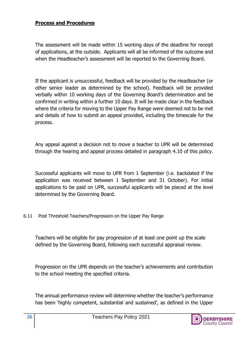#### **Process and Procedures**

The assessment will be made within 15 working days of the deadline for receipt of applications, at the outside. Applicants will all be informed of the outcome and when the Headteacher's assessment will be reported to the Governing Board.

If the applicant is unsuccessful, feedback will be provided by the Headteacher (or other senior leader as determined by the school). Feedback will be provided verbally within 10 working days of the Governing Board's determination and be confirmed in writing within a further 10 days. It will be made clear in the feedback where the criteria for moving to the Upper Pay Range were deemed not to be met and details of how to submit an appeal provided, including the timescale for the process.

Any appeal against a decision not to move a teacher to UPR will be determined through the hearing and appeal process detailed in paragraph 4.10 of this policy.

Successful applicants will move to UPR from 1 September (i.e. backdated if the application was received between 1 September and 31 October). For initial applications to be paid on UPR, successful applicants will be placed at the level determined by the Governing Board.

6.11 Post Threshold Teachers/Progression on the Upper Pay Range

Teachers will be eligible for pay progression of at least one point up the scale defined by the Governing Board, following each successful appraisal review.

Progression on the UPR depends on the teacher's achievements and contribution to the school meeting the specified criteria.

The annual performance review will determine whether the teacher's performance has been 'highly competent, substantial and sustained', as defined in the Upper

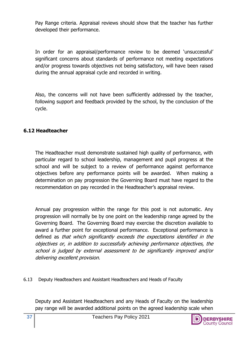Pay Range criteria. Appraisal reviews should show that the teacher has further developed their performance.

In order for an appraisal/performance review to be deemed 'unsuccessful' significant concerns about standards of performance not meeting expectations and/or progress towards objectives not being satisfactory, will have been raised during the annual appraisal cycle and recorded in writing.

Also, the concerns will not have been sufficiently addressed by the teacher, following support and feedback provided by the school, by the conclusion of the cycle.

#### **6.12 Headteacher**

The Headteacher must demonstrate sustained high quality of performance, with particular regard to school leadership, management and pupil progress at the school and will be subject to a review of performance against performance objectives before any performance points will be awarded. When making a determination on pay progression the Governing Board must have regard to the recommendation on pay recorded in the Headteacher's appraisal review.

Annual pay progression within the range for this post is not automatic. Any progression will normally be by one point on the leadership range agreed by the Governing Board. The Governing Board may exercise the discretion available to award a further point for exceptional performance. Exceptional performance is defined as that which significantly exceeds the expectations identified in the objectives or, in addition to successfully achieving performance objectives, the school is judged by external assessment to be significantly improved and/or delivering excellent provision.

6.13 Deputy Headteachers and Assistant Headteachers and Heads of Faculty

Deputy and Assistant Headteachers and any Heads of Faculty on the leadership pay range will be awarded additional points on the agreed leadership scale when

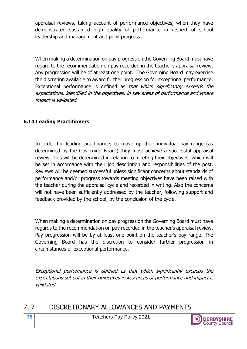appraisal reviews, taking account of performance objectives, when they have demonstrated sustained high quality of performance in respect of school leadership and management and pupil progress.

When making a determination on pay progression the Governing Board must have regard to the recommendation on pay recorded in the teacher's appraisal review. Any progression will be of at least one point. The Governing Board may exercise the discretion available to award further progression for exceptional performance. Exceptional performance is defined as that which significantly exceeds the expectations, identified in the objectives, in key areas of performance and where impact is validated.

#### **6.14 Leading Practitioners**

In order for leading practitioners to move up their individual pay range (as determined by the Governing Board) they must achieve a successful appraisal review. This will be determined in relation to meeting their objectives, which will be set in accordance with their job description and responsibilities of the post. Reviews will be deemed successful unless significant concerns about standards of performance and/or progress towards meeting objectives have been raised with the teacher during the appraisal cycle and recorded in writing. Also the concerns will not have been sufficiently addressed by the teacher, following support and feedback provided by the school, by the conclusion of the cycle.

When making a determination on pay progression the Governing Board must have regards to the recommendation on pay recorded in the teacher's appraisal review. Pay progression will be by at least one point on the teacher's pay range. The Governing Board has the discretion to consider further progression in circumstances of exceptional performance.

Exceptional performance is defined as that which significantly exceeds the expectations set out in their objectives in key areas of performance and impact is validated.

7. 7 DISCRETIONARY ALLOWANCES AND PAYMENTS

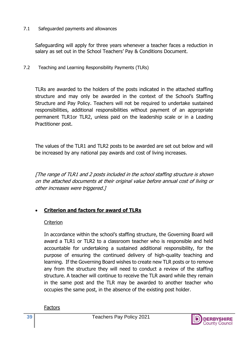#### 7.1 Safeguarded payments and allowances

Safeguarding will apply for three years whenever a teacher faces a reduction in salary as set out in the School Teachers' Pay & Conditions Document.

7.2 Teaching and Learning Responsibility Payments (TLRs)

TLRs are awarded to the holders of the posts indicated in the attached staffing structure and may only be awarded in the context of the School's Staffing Structure and Pay Policy. Teachers will not be required to undertake sustained responsibilities, additional responsibilities without payment of an appropriate permanent TLR1or TLR2, unless paid on the leadership scale or in a Leading Practitioner post.

The values of the TLR1 and TLR2 posts to be awarded are set out below and will be increased by any national pay awards and cost of living increases.

[The range of TLR1 and 2 posts included in the school staffing structure is shown on the attached documents at their original value before annual cost of living or other increases were triggered.]

#### • **Criterion and factors for award of TLRs**

#### **Criterion**

In accordance within the school's staffing structure, the Governing Board will award a TLR1 or TLR2 to a classroom teacher who is responsible and held accountable for undertaking a sustained additional responsibility, for the purpose of ensuring the continued delivery of high-quality teaching and learning. If the Governing Board wishes to create new TLR posts or to remove any from the structure they will need to conduct a review of the staffing structure. A teacher will continue to receive the TLR award while they remain in the same post and the TLR may be awarded to another teacher who occupies the same post, in the absence of the existing post holder.

**Factors** 

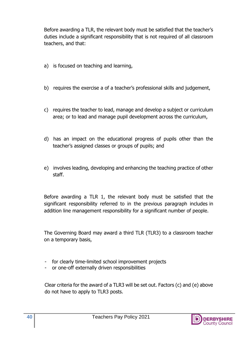Before awarding a TLR, the relevant body must be satisfied that the teacher's duties include a significant responsibility that is not required of all classroom teachers, and that:

- a) is focused on teaching and learning,
- b) requires the exercise a of a teacher's professional skills and judgement,
- c) requires the teacher to lead, manage and develop a subject or curriculum area; or to lead and manage pupil development across the curriculum,
- d) has an impact on the educational progress of pupils other than the teacher's assigned classes or groups of pupils; and
- e) involves leading, developing and enhancing the teaching practice of other staff.

Before awarding a TLR 1, the relevant body must be satisfied that the significant responsibility referred to in the previous paragraph includes in addition line management responsibility for a significant number of people.

The Governing Board may award a third TLR (TLR3) to a classroom teacher on a temporary basis,

- for clearly time-limited school improvement projects
- or one-off externally driven responsibilities

Clear criteria for the award of a TLR3 will be set out. Factors (c) and (e) above do not have to apply to TLR3 posts.

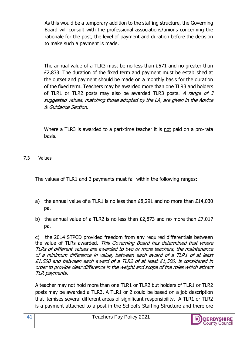As this would be a temporary addition to the staffing structure, the Governing Board will consult with the professional associations/unions concerning the rationale for the post, the level of payment and duration before the decision to make such a payment is made.

The annual value of a TLR3 must be no less than £571 and no greater than £2,833. The duration of the fixed term and payment must be established at the outset and payment should be made on a monthly basis for the duration of the fixed term. Teachers may be awarded more than one TLR3 and holders of TLR1 or TLR2 posts may also be awarded TLR3 posts. A range of  $3$ suggested values, matching those adopted by the LA, are given in the Advice & Guidance Section.

Where a TLR3 is awarded to a part-time teacher it is not paid on a pro-rata basis.

7.3 Values

The values of TLR1 and 2 payments must fall within the following ranges:

- a) the annual value of a TLR1 is no less than  $E8,291$  and no more than  $E14,030$ pa.
- b) the annual value of a TLR2 is no less than £2,873 and no more than £7,017 pa.

c) the 2014 STPCD provided freedom from any required differentials between the value of TLRs awarded. This Governing Board has determined that where TLRs of different values are awarded to two or more teachers, the maintenance of a minimum difference in value, between each award of a TLR1 of at least £1,500 and between each award of a TLR2 of at least £1,500, is considered in order to provide clear difference in the weight and scope of the roles which attract TLR payments.

A teacher may not hold more than one TLR1 or TLR2 but holders of TLR1 or TLR2 posts may be awarded a TLR3. A TLR1 or 2 could be based on a job description that itemises several different areas of significant responsibility. A TLR1 or TLR2 is a payment attached to a post in the School's Staffing Structure and therefore

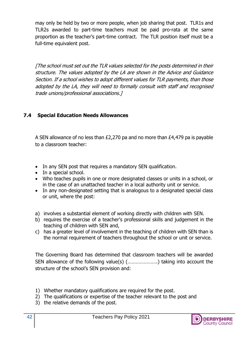may only be held by two or more people, when job sharing that post. TLR1s and TLR2s awarded to part-time teachers must be paid pro-rata at the same proportion as the teacher's part-time contract. The TLR position itself must be a full-time equivalent post.

[The school must set out the TLR values selected for the posts determined in their structure. The values adopted by the LA are shown in the Advice and Guidance Section. If a school wishes to adopt different values for TLR payments, than those adopted by the LA, they will need to formally consult with staff and recognised trade unions/professional associations.]

#### **7.4 Special Education Needs Allowances**

A SEN allowance of no less than £2,270 pa and no more than £4,479 pa is payable to a classroom teacher:

- In any SEN post that requires a mandatory SEN qualification.
- In a special school.
- Who teaches pupils in one or more designated classes or units in a school, or in the case of an unattached teacher in a local authority unit or service.
- In any non-designated setting that is analogous to a designated special class or unit, where the post:
- a) involves a substantial element of working directly with children with SEN.
- b) requires the exercise of a teacher's professional skills and judgement in the teaching of children with SEN and,
- c) has a greater level of involvement in the teaching of children with SEN than is the normal requirement of teachers throughout the school or unit or service.

The Governing Board has determined that classroom teachers will be awarded SEN allowance of the following value(s) (………………….) taking into account the structure of the school's SEN provision and:

- 1) Whether mandatory qualifications are required for the post.
- 2) The qualifications or expertise of the teacher relevant to the post and
- 3) the relative demands of the post.

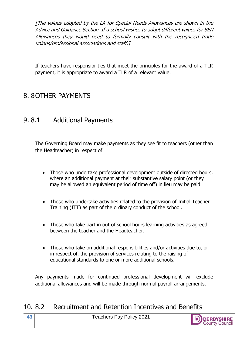[The values adopted by the LA for Special Needs Allowances are shown in the Advice and Guidance Section. If a school wishes to adopt different values for SEN Allowances they would need to formally consult with the recognised trade unions/professional associations and staff.]

If teachers have responsibilities that meet the principles for the award of a TLR payment, it is appropriate to award a TLR of a relevant value.

## 8. 8OTHER PAYMENTS

## 9. 8.1 Additional Payments

The Governing Board may make payments as they see fit to teachers (other than the Headteacher) in respect of:

- Those who undertake professional development outside of directed hours, where an additional payment at their substantive salary point (or they may be allowed an equivalent period of time off) in lieu may be paid.
- Those who undertake activities related to the provision of Initial Teacher Training (ITT) as part of the ordinary conduct of the school.
- Those who take part in out of school hours learning activities as agreed between the teacher and the Headteacher.
- Those who take on additional responsibilities and/or activities due to, or in respect of, the provision of services relating to the raising of educational standards to one or more additional schools.

Any payments made for continued professional development will exclude additional allowances and will be made through normal payroll arrangements.

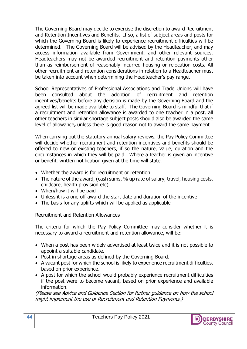The Governing Board may decide to exercise the discretion to award Recruitment and Retention Incentives and Benefits. If so, a list of subject areas and posts for which the Governing Board is likely to experience recruitment difficulties will be determined. The Governing Board will be advised by the Headteacher, and may access information available from Government, and other relevant sources. Headteachers may not be awarded recruitment and retention payments other than as reimbursement of reasonably incurred housing or relocation costs. All other recruitment and retention considerations in relation to a Headteacher must be taken into account when determining the Headteacher's pay range.

School Representatives of Professional Associations and Trade Unions will have been consulted about the adoption of recruitment and retention incentives/benefits before any decision is made by the Governing Board and the agreed list will be made available to staff. The Governing Board is mindful that if a recruitment and retention allowance is awarded to one teacher in a post, all other teachers in similar shortage subject posts should also be awarded the same level of allowance**,** unless there is good reason not to award the same payment.

When carrying out the statutory annual salary reviews, the Pay Policy Committee will decide whether recruitment and retention incentives and benefits should be offered to new or existing teachers, if so the nature, value, duration and the circumstances in which they will be paid. Where a teacher is given an incentive or benefit, written notification given at the time will state,

- Whether the award is for recruitment or retention
- The nature of the award, (cash sums, % up rate of salary, travel, housing costs, childcare, health provision etc)
- When/how it will be paid
- Unless it is a one off award the start date and duration of the incentive
- The basis for any uplifts which will be applied as applicable

Recruitment and Retention Allowances

The criteria for which the Pay Policy Committee may consider whether it is necessary to award a recruitment and retention allowance, will be:

- When a post has been widely advertised at least twice and it is not possible to appoint a suitable candidate.
- Post in shortage areas as defined by the Governing Board.
- A vacant post for which the school is likely to experience recruitment difficulties, based on prior experience.
- A post for which the school would probably experience recruitment difficulties if the post were to become vacant, based on prior experience and available information.

(Please see Advice and Guidance Section for further guidance on how the school might implement the use of Recruitment and Retention Payments.)

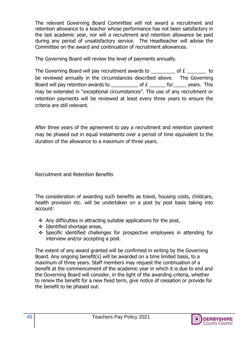The relevant Governing Board Committee will not award a recruitment and retention allowance to a teacher whose performance has not been satisfactory in the last academic year, nor will a recruitment and retention allowance be paid during any period of unsatisfactory service. The Headteacher will advise the Committee on the award and continuation of recruitment allowances.

The Governing Board will review the level of payments annually.

The Governing Board will pay recruitment awards to  $\qquad \qquad$  of  $\mathbf{E}$   $\qquad \qquad$  to be reviewed annually in the circumstances described above. The Governing Board will pay retention awards to \_\_\_\_\_\_\_\_\_\_ of  $E$  \_\_\_\_\_\_ for \_\_\_\_\_ years. This may be extended in "exceptional circumstances". The use of any recruitment or retention payments will be reviewed at least every three years to ensure the criteria are still relevant.

After three years of the agreement to pay a recruitment and retention payment may be phased out in equal instalments over a period of time equivalent to the duration of the allowance to a maximum of three years.

Recruitment and Retention Benefits

The consideration of awarding such benefits as travel, housing costs, childcare, health provision etc. will be undertaken on a post by post basis taking into account:

- ❖ Any difficulties in attracting suitable applications for the post,
- ❖ Identified shortage areas,
- ❖ Specific identified challenges for prospective employees in attending for interview and/or accepting a post.

The extent of any award granted will be confirmed in writing by the Governing Board. Any ongoing benefit(s) will be awarded on a time limited basis, to a maximum of three years. Staff members may request the continuation of a benefit at the commencement of the academic year in which it is due to end and the Governing Board will consider, in the light of the awarding criteria, whether to renew the benefit for a new fixed term, give notice of cessation or provide for the benefit to be phased out.

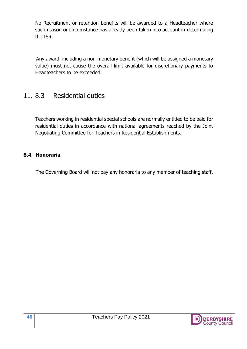No Recruitment or retention benefits will be awarded to a Headteacher where such reason or circumstance has already been taken into account in determining the ISR.

Any award, including a non-monetary benefit (which will be assigned a monetary value) must not cause the overall limit available for discretionary payments to Headteachers to be exceeded.

## 11. 8.3 Residential duties

Teachers working in residential special schools are normally entitled to be paid for residential duties in accordance with national agreements reached by the Joint Negotiating Committee for Teachers in Residential Establishments.

#### **8.4 Honoraria**

The Governing Board will not pay any honoraria to any member of teaching staff.

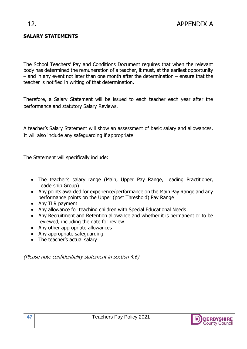#### **SALARY STATEMENTS**

The School Teachers' Pay and Conditions Document requires that when the relevant body has determined the remuneration of a teacher, it must, at the earliest opportunity – and in any event not later than one month after the determination – ensure that the teacher is notified in writing of that determination.

Therefore, a Salary Statement will be issued to each teacher each year after the performance and statutory Salary Reviews.

A teacher's Salary Statement will show an assessment of basic salary and allowances. It will also include any safeguarding if appropriate.

The Statement will specifically include:

- The teacher's salary range (Main, Upper Pay Range, Leading Practitioner, Leadership Group)
- Any points awarded for experience/performance on the Main Pay Range and any performance points on the Upper (post Threshold) Pay Range
- Any TLR payment
- Any allowance for teaching children with Special Educational Needs
- Any Recruitment and Retention allowance and whether it is permanent or to be reviewed, including the date for review
- Any other appropriate allowances
- Any appropriate safeguarding
- The teacher's actual salary

(Please note confidentiality statement in section 4.6)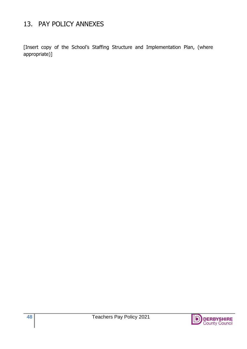## 13. PAY POLICY ANNEXES

[Insert copy of the School's Staffing Structure and Implementation Plan, (where appropriate)]

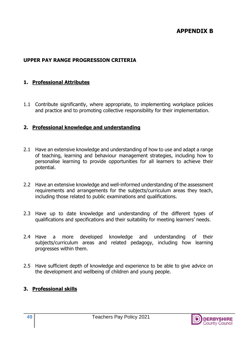### **APPENDIX B**

#### **UPPER PAY RANGE PROGRESSION CRITERIA**

#### **1. Professional Attributes**

1.1 Contribute significantly, where appropriate, to implementing workplace policies and practice and to promoting collective responsibility for their implementation.

#### **2. Professional knowledge and understanding**

- 2.1 Have an extensive knowledge and understanding of how to use and adapt a range of teaching, learning and behaviour management strategies, including how to personalise learning to provide opportunities for all learners to achieve their potential.
- 2.2 Have an extensive knowledge and well-informed understanding of the assessment requirements and arrangements for the subjects/curriculum areas they teach, including those related to public examinations and qualifications.
- 2.3 Have up to date knowledge and understanding of the different types of qualifications and specifications and their suitability for meeting learners' needs.
- 2.4 Have a more developed knowledge and understanding of their subjects/curriculum areas and related pedagogy, including how learning progresses within them.
- 2.5 Have sufficient depth of knowledge and experience to be able to give advice on the development and wellbeing of children and young people.

#### **3. Professional skills**

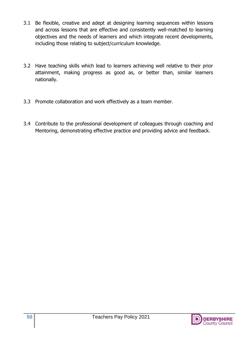- 3.1 Be flexible, creative and adept at designing learning sequences within lessons and across lessons that are effective and consistently well-matched to learning objectives and the needs of learners and which integrate recent developments, including those relating to subject/curriculum knowledge.
- 3.2 Have teaching skills which lead to learners achieving well relative to their prior attainment, making progress as good as, or better than, similar learners nationally.
- 3.3 Promote collaboration and work effectively as a team member.
- 3.4 Contribute to the professional development of colleagues through coaching and Mentoring, demonstrating effective practice and providing advice and feedback.

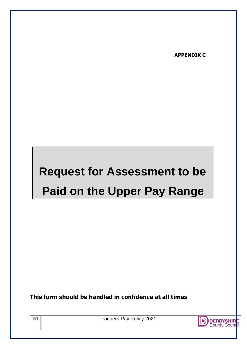**APPENDIX C**

## **Request for Assessment to be Paid on the Upper Pay Range**

**This form should be handled in confidence at all times**

**51** Teachers Pay Policy 2021

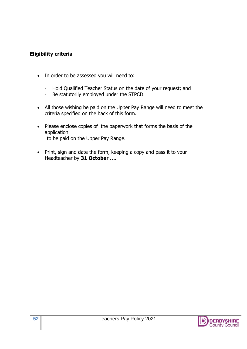#### **Eligibility criteria**

- In order to be assessed you will need to:
	- Hold Qualified Teacher Status on the date of your request; and
	- Be statutorily employed under the STPCD.
- All those wishing be paid on the Upper Pay Range will need to meet the criteria specified on the back of this form.
- Please enclose copies of the paperwork that forms the basis of the application to be paid on the Upper Pay Range.
- Print, sign and date the form, keeping a copy and pass it to your Headteacher by **31 October ….**

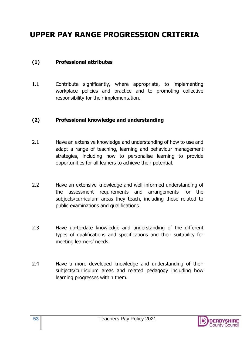## **UPPER PAY RANGE PROGRESSION CRITERIA**

#### **(1) Professional attributes**

1.1 Contribute significantly, where appropriate, to implementing workplace policies and practice and to promoting collective responsibility for their implementation.

#### **(2) Professional knowledge and understanding**

- 2.1 Have an extensive knowledge and understanding of how to use and adapt a range of teaching, learning and behaviour management strategies, including how to personalise learning to provide opportunities for all leaners to achieve their potential.
- 2.2 Have an extensive knowledge and well-informed understanding of the assessment requirements and arrangements for the subjects/curriculum areas they teach, including those related to public examinations and qualifications.
- 2.3 Have up-to-date knowledge and understanding of the different types of qualifications and specifications and their suitability for meeting learners' needs.
- 2.4 Have a more developed knowledge and understanding of their subjects/curriculum areas and related pedagogy including how learning progresses within them.

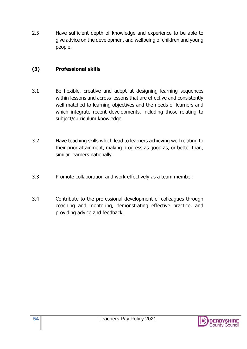2.5 Have sufficient depth of knowledge and experience to be able to give advice on the development and wellbeing of children and young people.

#### **(3) Professional skills**

- 3.1 Be flexible, creative and adept at designing learning sequences within lessons and across lessons that are effective and consistently well-matched to learning objectives and the needs of learners and which integrate recent developments, including those relating to subject/curriculum knowledge.
- 3.2 Have teaching skills which lead to learners achieving well relating to their prior attainment, making progress as good as, or better than, similar learners nationally.
- 3.3 Promote collaboration and work effectively as a team member.
- 3.4 Contribute to the professional development of colleagues through coaching and mentoring, demonstrating effective practice, and providing advice and feedback.

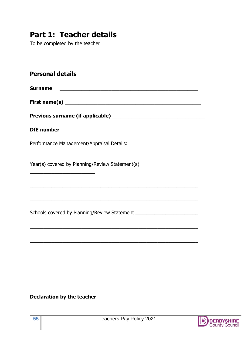## **Part 1: Teacher details**

To be completed by the teacher

#### **Personal details**

**Surname** \_\_\_\_\_\_\_\_\_\_\_\_\_\_\_\_\_\_\_\_\_\_\_\_\_\_\_\_\_\_\_\_\_\_\_\_\_\_\_\_\_\_\_\_\_\_\_\_\_\_\_

**First name(s)** \_\_\_\_\_\_\_\_\_\_\_\_\_\_\_\_\_\_\_\_\_\_\_\_\_\_\_\_\_\_\_\_\_\_\_\_\_\_\_\_\_\_\_\_\_\_\_\_\_\_

\_\_\_\_\_\_\_\_\_\_\_\_\_\_\_\_\_\_\_\_\_\_\_\_\_\_\_\_\_\_\_\_\_\_\_\_\_\_\_\_\_\_\_\_\_\_\_\_\_\_\_\_\_\_\_\_\_\_\_\_\_\_

\_\_\_\_\_\_\_\_\_\_\_\_\_\_\_\_\_\_\_\_\_\_\_\_\_\_\_\_\_\_\_\_\_\_\_\_\_\_\_\_\_\_\_\_\_\_\_\_\_\_\_\_\_\_\_\_\_\_\_\_\_\_

\_\_\_\_\_\_\_\_\_\_\_\_\_\_\_\_\_\_\_\_\_\_\_\_\_\_\_\_\_\_\_\_\_\_\_\_\_\_\_\_\_\_\_\_\_\_\_\_\_\_\_\_\_\_\_\_\_\_\_\_\_\_

\_\_\_\_\_\_\_\_\_\_\_\_\_\_\_\_\_\_\_\_\_\_\_\_\_\_\_\_\_\_\_\_\_\_\_\_\_\_\_\_\_\_\_\_\_\_\_\_\_\_\_\_\_\_\_\_\_\_\_\_\_\_

Previous surname (if applicable) **We are all the contract of the surface of the contract of the contract of the contract of the contract of the contract of the contract of the contract of the contract of the contract of th** 

\_\_\_\_\_\_\_\_\_\_\_\_\_\_\_\_\_\_\_\_\_\_\_\_

| DfE number |  |  |
|------------|--|--|
|            |  |  |

Performance Management/Appraisal Details:

Year(s) covered by Planning/Review Statement(s)

Schools covered by Planning/Review Statement \_\_\_\_\_\_\_\_\_\_\_\_\_\_\_\_\_\_\_\_\_\_\_\_\_\_\_\_\_\_\_\_\_\_\_

#### **Declaration by the teacher**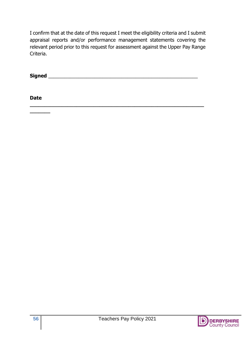I confirm that at the date of this request I meet the eligibility criteria and I submit appraisal reports and/or performance management statements covering the relevant period prior to this request for assessment against the Upper Pay Range Criteria.

**Signed** \_\_\_\_\_\_\_\_\_\_\_\_\_\_\_\_\_\_\_\_\_\_\_\_\_\_\_\_\_\_\_\_\_\_\_\_\_\_\_\_\_\_\_\_\_\_\_\_\_\_\_\_\_\_\_

**\_\_\_\_\_\_\_\_\_\_\_\_\_\_\_\_\_\_\_\_\_\_\_\_\_\_\_\_\_\_\_\_\_\_\_\_\_\_\_\_\_\_\_\_\_\_\_\_\_\_\_\_\_\_\_\_\_\_\_\_**

**Date** 

**\_\_\_\_\_\_\_**

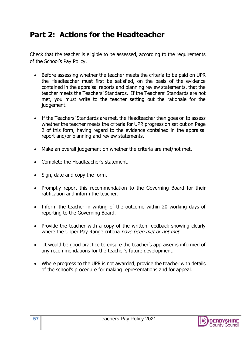## **Part 2: Actions for the Headteacher**

Check that the teacher is eligible to be assessed, according to the requirements of the School's Pay Policy.

- Before assessing whether the teacher meets the criteria to be paid on UPR the Headteacher must first be satisfied, on the basis of the evidence contained in the appraisal reports and planning review statements, that the teacher meets the Teachers' Standards. If the Teachers' Standards are not met, you must write to the teacher setting out the rationale for the judgement.
- If the Teachers' Standards are met, the Headteacher then goes on to assess whether the teacher meets the criteria for UPR progression set out on Page 2 of this form, having regard to the evidence contained in the appraisal report and/or planning and review statements.
- Make an overall judgement on whether the criteria are met/not met.
- Complete the Headteacher's statement.
- Sign, date and copy the form.
- Promptly report this recommendation to the Governing Board for their ratification and inform the teacher.
- Inform the teacher in writing of the outcome within 20 working days of reporting to the Governing Board.
- Provide the teacher with a copy of the written feedback showing clearly where the Upper Pay Range criteria *have been met or not met.*
- It would be good practice to ensure the teacher's appraiser is informed of any recommendations for the teacher's future development.
- Where progress to the UPR is not awarded, provide the teacher with details of the school's procedure for making representations and for appeal.

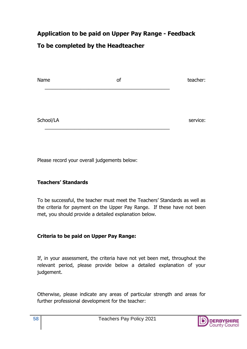## **Application to be paid on Upper Pay Range - Feedback To be completed by the Headteacher**

| Name      | of | teacher: |
|-----------|----|----------|
|           |    |          |
| School/LA |    | service: |

Please record your overall judgements below:

#### **Teachers' Standards**

To be successful, the teacher must meet the Teachers' Standards as well as the criteria for payment on the Upper Pay Range. If these have not been met, you should provide a detailed explanation below.

#### **Criteria to be paid on Upper Pay Range:**

If, in your assessment, the criteria have not yet been met, throughout the relevant period, please provide below a detailed explanation of your judgement.

Otherwise, please indicate any areas of particular strength and areas for further professional development for the teacher: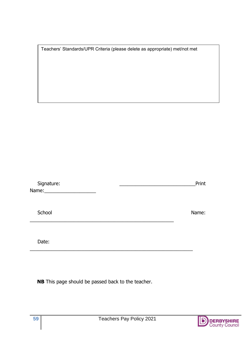| Teachers' Standards/UPR Criteria (please delete as appropriate) met/not met |  |  |  |
|-----------------------------------------------------------------------------|--|--|--|
|                                                                             |  |  |  |

| Signature: | Print |
|------------|-------|
| Name:      |       |

School Name:

Date:

 **NB** This page should be passed back to the teacher.

\_\_\_\_\_\_\_\_\_\_\_\_\_\_\_\_\_\_\_\_\_\_\_\_\_\_\_\_\_\_\_\_\_\_\_\_\_\_\_\_\_\_\_\_\_\_\_\_\_\_\_\_\_

\_\_\_\_\_\_\_\_\_\_\_\_\_\_\_\_\_\_\_\_\_\_\_\_\_\_\_\_\_\_\_\_\_\_\_\_\_\_\_\_\_\_\_\_\_\_\_\_\_\_\_\_\_\_\_\_\_\_\_\_